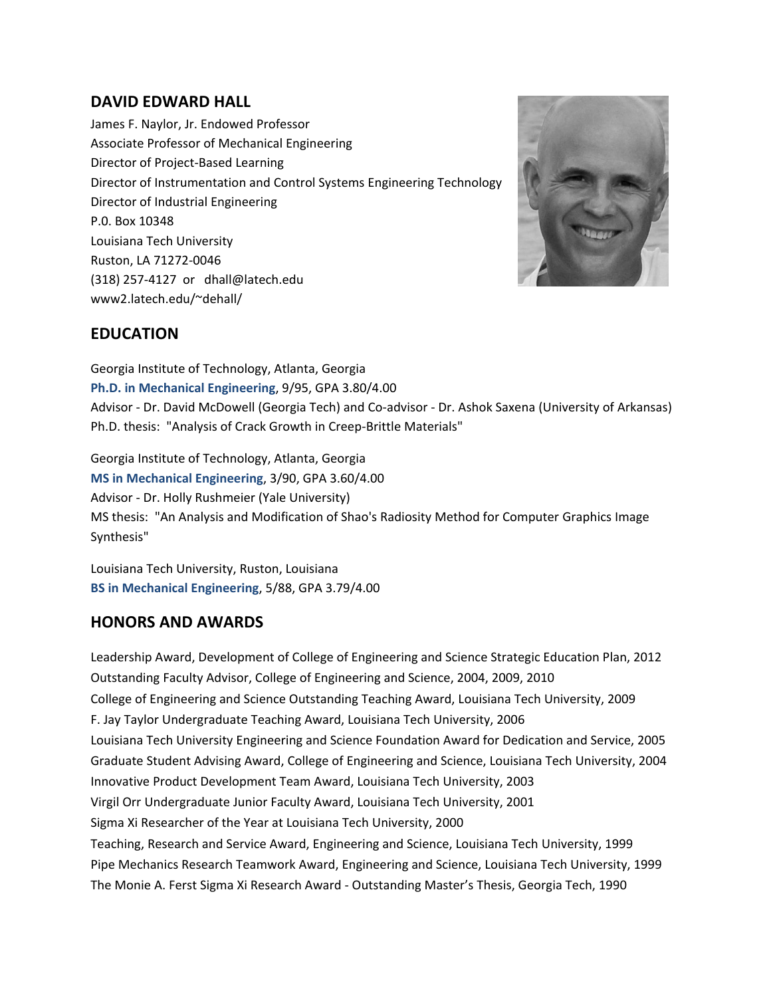# **DAVID EDWARD HALL**

James F. Naylor, Jr. Endowed Professor Associate Professor of Mechanical Engineering Director of Project-Based Learning Director of Instrumentation and Control Systems Engineering Technology Director of Industrial Engineering P.0. Box 10348 Louisiana Tech University Ruston, LA 71272-0046 (318) 257-4127 or dhall@latech.edu www2.latech.edu/~dehall/



# **EDUCATION**

Georgia Institute of Technology, Atlanta, Georgia **Ph.D. in Mechanical Engineering**, 9/95, GPA 3.80/4.00 Advisor - Dr. David McDowell (Georgia Tech) and Co-advisor - Dr. Ashok Saxena (University of Arkansas) Ph.D. thesis: "Analysis of Crack Growth in Creep-Brittle Materials"

Georgia Institute of Technology, Atlanta, Georgia **MS in Mechanical Engineering**, 3/90, GPA 3.60/4.00 Advisor - Dr. Holly Rushmeier (Yale University) MS thesis: "An Analysis and Modification of Shao's Radiosity Method for Computer Graphics Image Synthesis"

Louisiana Tech University, Ruston, Louisiana **BS in Mechanical Engineering**, 5/88, GPA 3.79/4.00

# **HONORS AND AWARDS**

Leadership Award, Development of College of Engineering and Science Strategic Education Plan, 2012 Outstanding Faculty Advisor, College of Engineering and Science, 2004, 2009, 2010 College of Engineering and Science Outstanding Teaching Award, Louisiana Tech University, 2009 F. Jay Taylor Undergraduate Teaching Award, Louisiana Tech University, 2006 Louisiana Tech University Engineering and Science Foundation Award for Dedication and Service, 2005 Graduate Student Advising Award, College of Engineering and Science, Louisiana Tech University, 2004 Innovative Product Development Team Award, Louisiana Tech University, 2003 Virgil Orr Undergraduate Junior Faculty Award, Louisiana Tech University, 2001 Sigma Xi Researcher of the Year at Louisiana Tech University, 2000 Teaching, Research and Service Award, Engineering and Science, Louisiana Tech University, 1999 Pipe Mechanics Research Teamwork Award, Engineering and Science, Louisiana Tech University, 1999 The Monie A. Ferst Sigma Xi Research Award - Outstanding Master's Thesis, Georgia Tech, 1990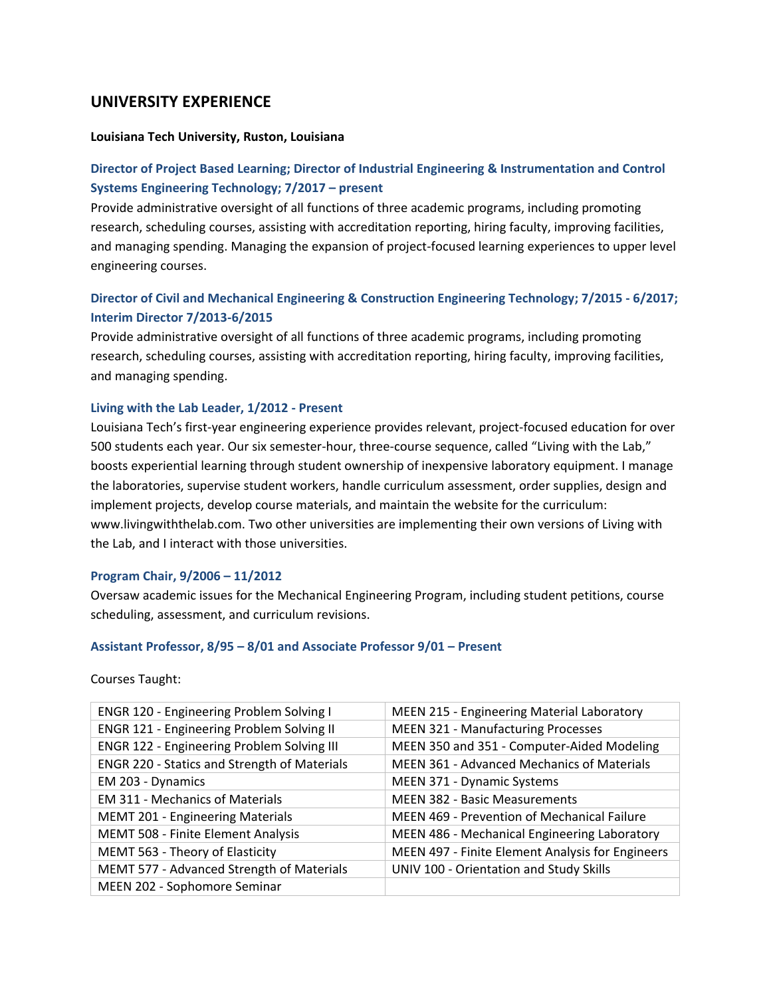### **UNIVERSITY EXPERIENCE**

#### **Louisiana Tech University, Ruston, Louisiana**

### **Director of Project Based Learning; Director of Industrial Engineering & Instrumentation and Control Systems Engineering Technology; 7/2017 – present**

Provide administrative oversight of all functions of three academic programs, including promoting research, scheduling courses, assisting with accreditation reporting, hiring faculty, improving facilities, and managing spending. Managing the expansion of project-focused learning experiences to upper level engineering courses.

## **Director of Civil and Mechanical Engineering & Construction Engineering Technology; 7/2015 - 6/2017; Interim Director 7/2013-6/2015**

Provide administrative oversight of all functions of three academic programs, including promoting research, scheduling courses, assisting with accreditation reporting, hiring faculty, improving facilities, and managing spending.

#### **Living with the Lab Leader, 1/2012 - Present**

Louisiana Tech's first-year engineering experience provides relevant, project-focused education for over 500 students each year. Our six semester-hour, three-course sequence, called "Living with the Lab," boosts experiential learning through student ownership of inexpensive laboratory equipment. I manage the laboratories, supervise student workers, handle curriculum assessment, order supplies, design and implement projects, develop course materials, and maintain the website for the curriculum: www.livingwiththelab.com. Two other universities are implementing their own versions of Living with the Lab, and I interact with those universities.

#### **Program Chair, 9/2006 – 11/2012**

Oversaw academic issues for the Mechanical Engineering Program, including student petitions, course scheduling, assessment, and curriculum revisions.

#### **Assistant Professor, 8/95 – 8/01 and Associate Professor 9/01 – Present**

Courses Taught:

| ENGR 120 - Engineering Problem Solving I            | MEEN 215 - Engineering Material Laboratory         |
|-----------------------------------------------------|----------------------------------------------------|
| ENGR 121 - Engineering Problem Solving II           | <b>MEEN 321 - Manufacturing Processes</b>          |
| <b>ENGR 122 - Engineering Problem Solving III</b>   | MEEN 350 and 351 - Computer-Aided Modeling         |
| <b>ENGR 220 - Statics and Strength of Materials</b> | MEEN 361 - Advanced Mechanics of Materials         |
| EM 203 - Dynamics                                   | MEEN 371 - Dynamic Systems                         |
| <b>EM 311 - Mechanics of Materials</b>              | <b>MEEN 382 - Basic Measurements</b>               |
| MEMT 201 - Engineering Materials                    | <b>MEEN 469 - Prevention of Mechanical Failure</b> |
| MEMT 508 - Finite Element Analysis                  | MEEN 486 - Mechanical Engineering Laboratory       |
| MEMT 563 - Theory of Elasticity                     | MEEN 497 - Finite Element Analysis for Engineers   |
| MEMT 577 - Advanced Strength of Materials           | UNIV 100 - Orientation and Study Skills            |
| MEEN 202 - Sophomore Seminar                        |                                                    |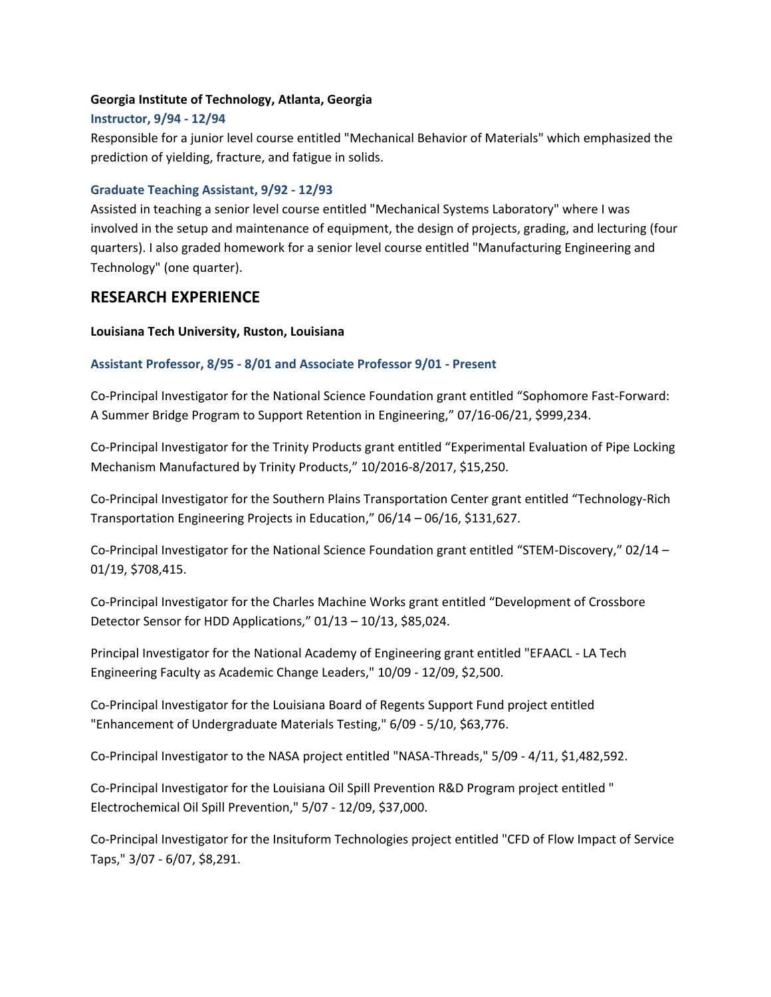#### **Georgia Institute of Technology, Atlanta, Georgia**

#### **Instructor, 9/94 - 12/94**

Responsible for a junior level course entitled "Mechanical Behavior of Materials" which emphasized the prediction of yielding, fracture, and fatigue in solids.

#### **Graduate Teaching Assistant, 9/92 - 12/93**

Assisted in teaching a senior level course entitled "Mechanical Systems Laboratory" where I was involved in the setup and maintenance of equipment, the design of projects, grading, and lecturing (four quarters). I also graded homework for a senior level course entitled "Manufacturing Engineering and Technology" (one quarter).

### **RESEARCH EXPERIENCE**

#### **Louisiana Tech University, Ruston, Louisiana**

#### **Assistant Professor, 8/95 - 8/01 and Associate Professor 9/01 - Present**

Co-Principal Investigator for the National Science Foundation grant entitled "Sophomore Fast-Forward: A Summer Bridge Program to Support Retention in Engineering," 07/16-06/21, \$999,234.

Co-Principal Investigator for the Trinity Products grant entitled "Experimental Evaluation of Pipe Locking Mechanism Manufactured by Trinity Products," 10/2016-8/2017, \$15,250.

Co-Principal Investigator for the Southern Plains Transportation Center grant entitled "Technology-Rich Transportation Engineering Projects in Education," 06/14 – 06/16, \$131,627.

Co-Principal Investigator for the National Science Foundation grant entitled "STEM-Discovery," 02/14 – 01/19, \$708,415.

Co-Principal Investigator for the Charles Machine Works grant entitled "Development of Crossbore Detector Sensor for HDD Applications," 01/13 – 10/13, \$85,024.

Principal Investigator for the National Academy of Engineering grant entitled "EFAACL - LA Tech Engineering Faculty as Academic Change Leaders," 10/09 - 12/09, \$2,500.

Co-Principal Investigator for the Louisiana Board of Regents Support Fund project entitled "Enhancement of Undergraduate Materials Testing," 6/09 - 5/10, \$63,776.

Co-Principal Investigator to the NASA project entitled "NASA-Threads," 5/09 - 4/11, \$1,482,592.

Co-Principal Investigator for the Louisiana Oil Spill Prevention R&D Program project entitled " Electrochemical Oil Spill Prevention," 5/07 - 12/09, \$37,000.

Co-Principal Investigator for the Insituform Technologies project entitled "CFD of Flow Impact of Service Taps," 3/07 - 6/07, \$8,291.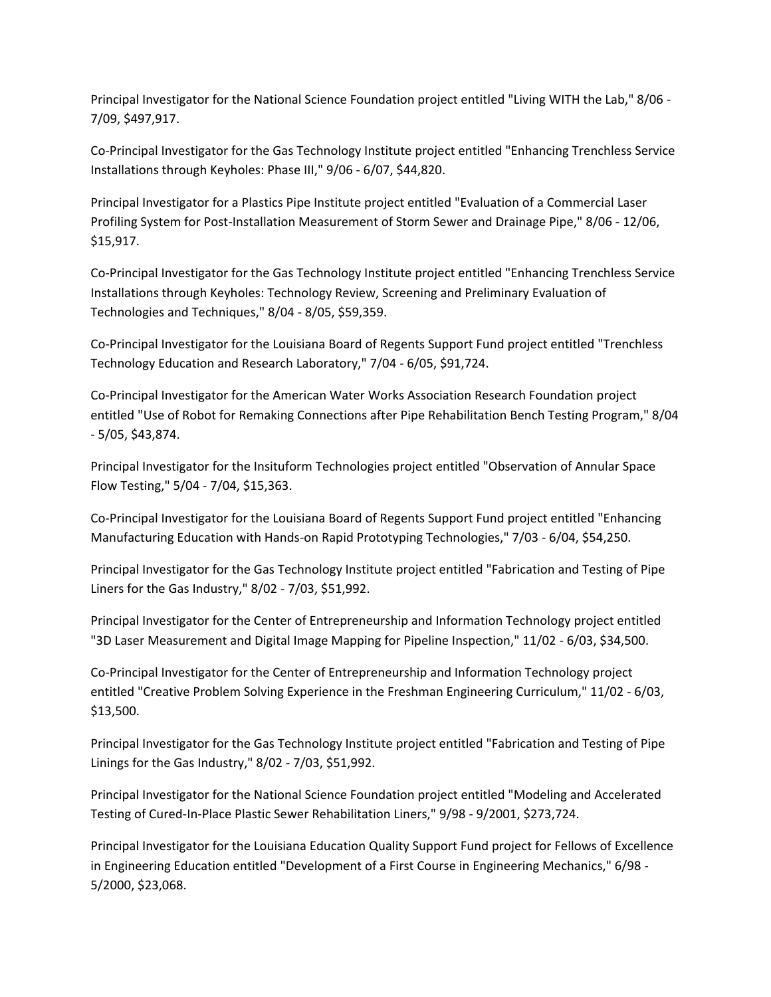Principal Investigator for the National Science Foundation project entitled "Living WITH the Lab," 8/06 - 7/09, \$497,917.

Co-Principal Investigator for the Gas Technology Institute project entitled "Enhancing Trenchless Service Installations through Keyholes: Phase III," 9/06 - 6/07, \$44,820.

Principal Investigator for a Plastics Pipe Institute project entitled "Evaluation of a Commercial Laser Profiling System for Post-Installation Measurement of Storm Sewer and Drainage Pipe," 8/06 - 12/06, \$15,917.

Co-Principal Investigator for the Gas Technology Institute project entitled "Enhancing Trenchless Service Installations through Keyholes: Technology Review, Screening and Preliminary Evaluation of Technologies and Techniques," 8/04 - 8/05, \$59,359.

Co-Principal Investigator for the Louisiana Board of Regents Support Fund project entitled "Trenchless Technology Education and Research Laboratory," 7/04 - 6/05, \$91,724.

Co-Principal Investigator for the American Water Works Association Research Foundation project entitled "Use of Robot for Remaking Connections after Pipe Rehabilitation Bench Testing Program," 8/04 - 5/05, \$43,874.

Principal Investigator for the Insituform Technologies project entitled "Observation of Annular Space Flow Testing," 5/04 - 7/04, \$15,363.

Co-Principal Investigator for the Louisiana Board of Regents Support Fund project entitled "Enhancing Manufacturing Education with Hands-on Rapid Prototyping Technologies," 7/03 - 6/04, \$54,250.

Principal Investigator for the Gas Technology Institute project entitled "Fabrication and Testing of Pipe Liners for the Gas Industry," 8/02 - 7/03, \$51,992.

Principal Investigator for the Center of Entrepreneurship and Information Technology project entitled "3D Laser Measurement and Digital Image Mapping for Pipeline Inspection," 11/02 - 6/03, \$34,500.

Co-Principal Investigator for the Center of Entrepreneurship and Information Technology project entitled "Creative Problem Solving Experience in the Freshman Engineering Curriculum," 11/02 - 6/03, \$13,500.

Principal Investigator for the Gas Technology Institute project entitled "Fabrication and Testing of Pipe Linings for the Gas Industry," 8/02 - 7/03, \$51,992.

Principal Investigator for the National Science Foundation project entitled "Modeling and Accelerated Testing of Cured-In-Place Plastic Sewer Rehabilitation Liners," 9/98 - 9/2001, \$273,724.

Principal Investigator for the Louisiana Education Quality Support Fund project for Fellows of Excellence in Engineering Education entitled "Development of a First Course in Engineering Mechanics," 6/98 - 5/2000, \$23,068.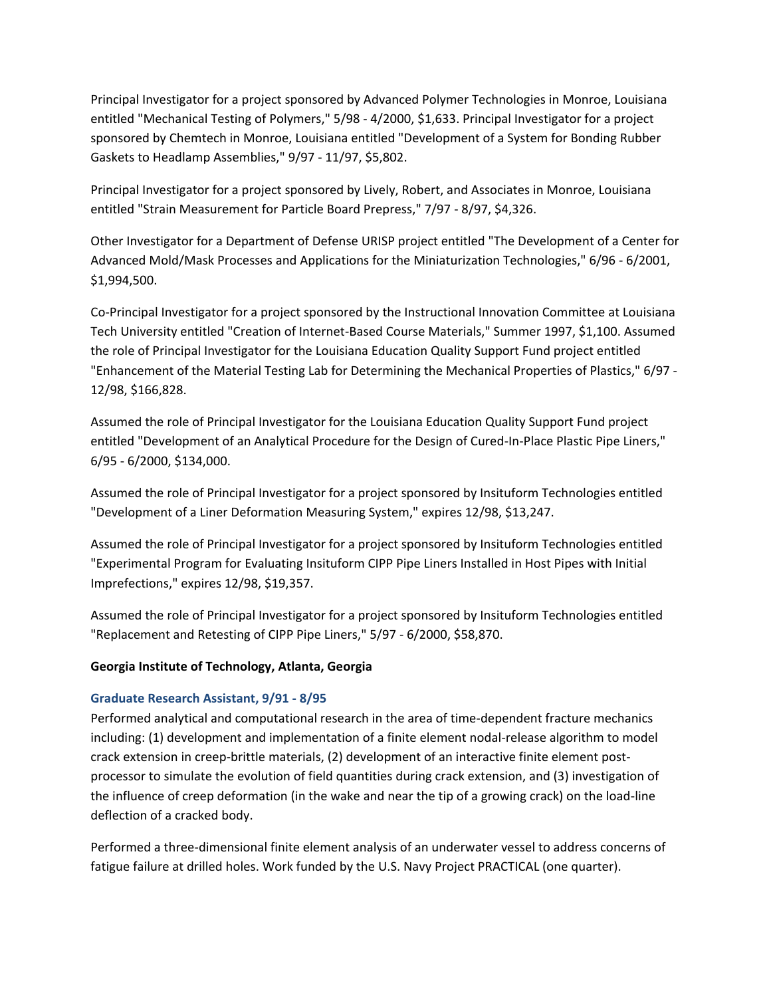Principal Investigator for a project sponsored by Advanced Polymer Technologies in Monroe, Louisiana entitled "Mechanical Testing of Polymers," 5/98 - 4/2000, \$1,633. Principal Investigator for a project sponsored by Chemtech in Monroe, Louisiana entitled "Development of a System for Bonding Rubber Gaskets to Headlamp Assemblies," 9/97 - 11/97, \$5,802.

Principal Investigator for a project sponsored by Lively, Robert, and Associates in Monroe, Louisiana entitled "Strain Measurement for Particle Board Prepress," 7/97 - 8/97, \$4,326.

Other Investigator for a Department of Defense URISP project entitled "The Development of a Center for Advanced Mold/Mask Processes and Applications for the Miniaturization Technologies," 6/96 - 6/2001, \$1,994,500.

Co-Principal Investigator for a project sponsored by the Instructional Innovation Committee at Louisiana Tech University entitled "Creation of Internet-Based Course Materials," Summer 1997, \$1,100. Assumed the role of Principal Investigator for the Louisiana Education Quality Support Fund project entitled "Enhancement of the Material Testing Lab for Determining the Mechanical Properties of Plastics," 6/97 - 12/98, \$166,828.

Assumed the role of Principal Investigator for the Louisiana Education Quality Support Fund project entitled "Development of an Analytical Procedure for the Design of Cured-In-Place Plastic Pipe Liners," 6/95 - 6/2000, \$134,000.

Assumed the role of Principal Investigator for a project sponsored by Insituform Technologies entitled "Development of a Liner Deformation Measuring System," expires 12/98, \$13,247.

Assumed the role of Principal Investigator for a project sponsored by Insituform Technologies entitled "Experimental Program for Evaluating Insituform CIPP Pipe Liners Installed in Host Pipes with Initial Imprefections," expires 12/98, \$19,357.

Assumed the role of Principal Investigator for a project sponsored by Insituform Technologies entitled "Replacement and Retesting of CIPP Pipe Liners," 5/97 - 6/2000, \$58,870.

#### **Georgia Institute of Technology, Atlanta, Georgia**

#### **Graduate Research Assistant, 9/91 - 8/95**

Performed analytical and computational research in the area of time-dependent fracture mechanics including: (1) development and implementation of a finite element nodal-release algorithm to model crack extension in creep-brittle materials, (2) development of an interactive finite element postprocessor to simulate the evolution of field quantities during crack extension, and (3) investigation of the influence of creep deformation (in the wake and near the tip of a growing crack) on the load-line deflection of a cracked body.

Performed a three-dimensional finite element analysis of an underwater vessel to address concerns of fatigue failure at drilled holes. Work funded by the U.S. Navy Project PRACTICAL (one quarter).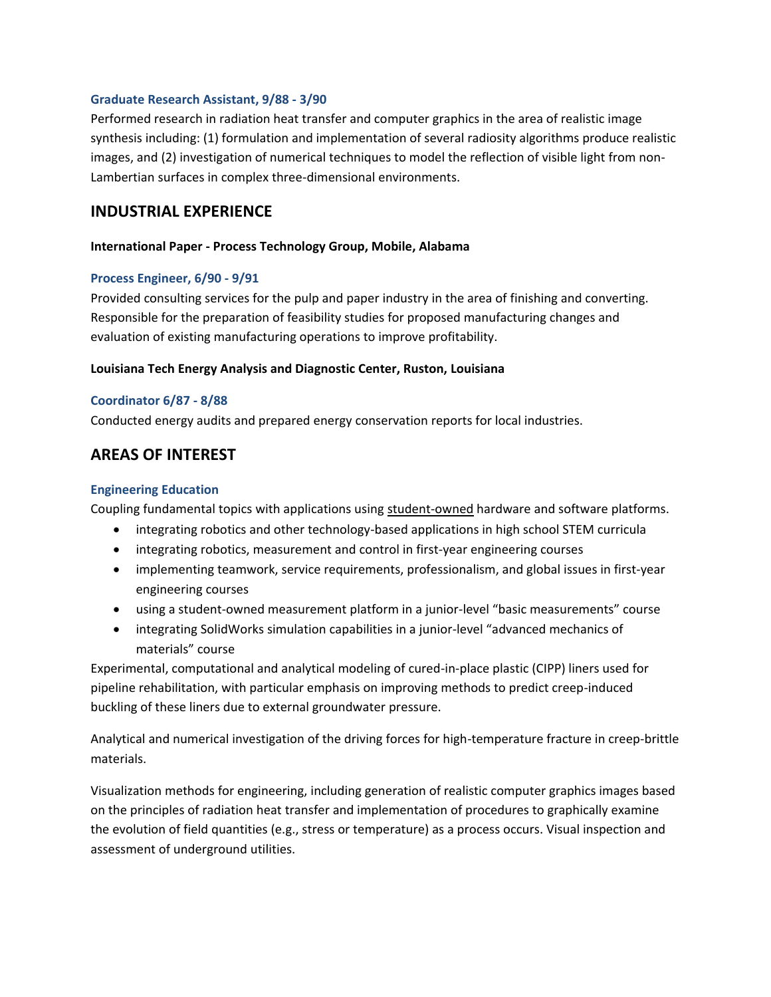#### **Graduate Research Assistant, 9/88 - 3/90**

Performed research in radiation heat transfer and computer graphics in the area of realistic image synthesis including: (1) formulation and implementation of several radiosity algorithms produce realistic images, and (2) investigation of numerical techniques to model the reflection of visible light from non-Lambertian surfaces in complex three-dimensional environments.

### **INDUSTRIAL EXPERIENCE**

#### **International Paper - Process Technology Group, Mobile, Alabama**

#### **Process Engineer, 6/90 - 9/91**

Provided consulting services for the pulp and paper industry in the area of finishing and converting. Responsible for the preparation of feasibility studies for proposed manufacturing changes and evaluation of existing manufacturing operations to improve profitability.

#### **Louisiana Tech Energy Analysis and Diagnostic Center, Ruston, Louisiana**

#### **Coordinator 6/87 - 8/88**

Conducted energy audits and prepared energy conservation reports for local industries.

## **AREAS OF INTEREST**

#### **Engineering Education**

Coupling fundamental topics with applications using student-owned hardware and software platforms.

- integrating robotics and other technology-based applications in high school STEM curricula
- integrating robotics, measurement and control in first-year engineering courses
- implementing teamwork, service requirements, professionalism, and global issues in first-year engineering courses
- using a student-owned measurement platform in a junior-level "basic measurements" course
- integrating SolidWorks simulation capabilities in a junior-level "advanced mechanics of materials" course

Experimental, computational and analytical modeling of cured-in-place plastic (CIPP) liners used for pipeline rehabilitation, with particular emphasis on improving methods to predict creep-induced buckling of these liners due to external groundwater pressure.

Analytical and numerical investigation of the driving forces for high-temperature fracture in creep-brittle materials.

Visualization methods for engineering, including generation of realistic computer graphics images based on the principles of radiation heat transfer and implementation of procedures to graphically examine the evolution of field quantities (e.g., stress or temperature) as a process occurs. Visual inspection and assessment of underground utilities.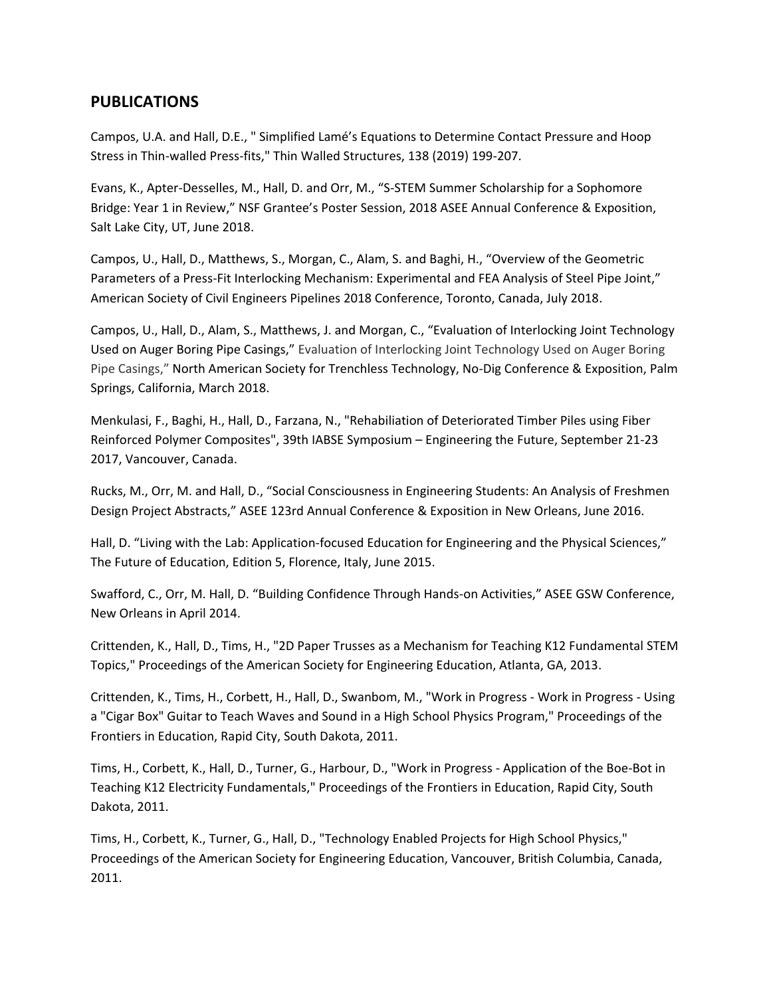## **PUBLICATIONS**

Campos, U.A. and Hall, D.E., " Simplified Lamé's Equations to Determine Contact Pressure and Hoop Stress in Thin-walled Press-fits," Thin Walled Structures, 138 (2019) 199-207.

Evans, K., Apter-Desselles, M., Hall, D. and Orr, M., "S-STEM Summer Scholarship for a Sophomore Bridge: Year 1 in Review," NSF Grantee's Poster Session, 2018 ASEE Annual Conference & Exposition, Salt Lake City, UT, June 2018.

Campos, U., Hall, D., Matthews, S., Morgan, C., Alam, S. and Baghi, H., "Overview of the Geometric Parameters of a Press-Fit Interlocking Mechanism: Experimental and FEA Analysis of Steel Pipe Joint," American Society of Civil Engineers Pipelines 2018 Conference, Toronto, Canada, July 2018.

Campos, U., Hall, D., Alam, S., Matthews, J. and Morgan, C., "Evaluation of Interlocking Joint Technology Used on Auger Boring Pipe Casings," Evaluation of Interlocking Joint Technology Used on Auger Boring Pipe Casings," North American Society for Trenchless Technology, No-Dig Conference & Exposition, Palm Springs, California, March 2018.

Menkulasi, F., Baghi, H., Hall, D., Farzana, N., "Rehabiliation of Deteriorated Timber Piles using Fiber Reinforced Polymer Composites", 39th IABSE Symposium – Engineering the Future, September 21-23 2017, Vancouver, Canada.

Rucks, M., Orr, M. and Hall, D., "Social Consciousness in Engineering Students: An Analysis of Freshmen Design Project Abstracts," ASEE 123rd Annual Conference & Exposition in New Orleans, June 2016.

Hall, D. "Living with the Lab: Application-focused Education for Engineering and the Physical Sciences," The Future of Education, Edition 5, Florence, Italy, June 2015.

Swafford, C., Orr, M. Hall, D. "Building Confidence Through Hands-on Activities," ASEE GSW Conference, New Orleans in April 2014.

Crittenden, K., Hall, D., Tims, H., "2D Paper Trusses as a Mechanism for Teaching K12 Fundamental STEM Topics," Proceedings of the American Society for Engineering Education, Atlanta, GA, 2013.

Crittenden, K., Tims, H., Corbett, H., Hall, D., Swanbom, M., "Work in Progress - Work in Progress - Using a "Cigar Box" Guitar to Teach Waves and Sound in a High School Physics Program," Proceedings of the Frontiers in Education, Rapid City, South Dakota, 2011.

Tims, H., Corbett, K., Hall, D., Turner, G., Harbour, D., "Work in Progress - Application of the Boe-Bot in Teaching K12 Electricity Fundamentals," Proceedings of the Frontiers in Education, Rapid City, South Dakota, 2011.

Tims, H., Corbett, K., Turner, G., Hall, D., "Technology Enabled Projects for High School Physics," Proceedings of the American Society for Engineering Education, Vancouver, British Columbia, Canada, 2011.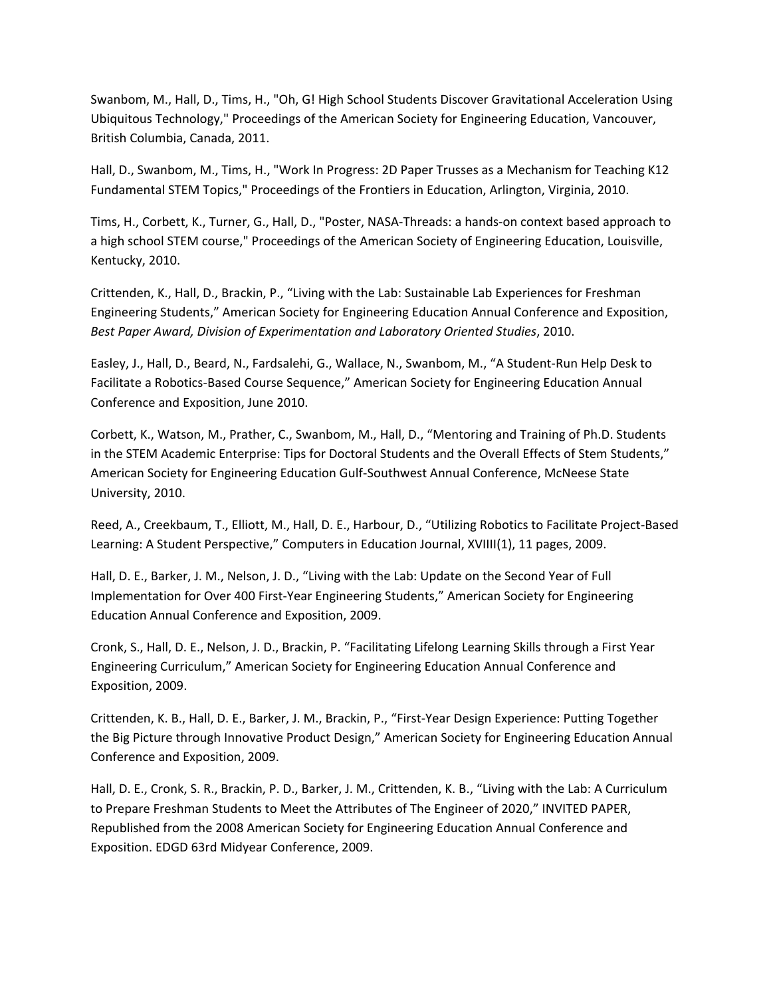Swanbom, M., Hall, D., Tims, H., "Oh, G! High School Students Discover Gravitational Acceleration Using Ubiquitous Technology," Proceedings of the American Society for Engineering Education, Vancouver, British Columbia, Canada, 2011.

Hall, D., Swanbom, M., Tims, H., "Work In Progress: 2D Paper Trusses as a Mechanism for Teaching K12 Fundamental STEM Topics," Proceedings of the Frontiers in Education, Arlington, Virginia, 2010.

Tims, H., Corbett, K., Turner, G., Hall, D., "Poster, NASA-Threads: a hands-on context based approach to a high school STEM course," Proceedings of the American Society of Engineering Education, Louisville, Kentucky, 2010.

Crittenden, K., Hall, D., Brackin, P., "Living with the Lab: Sustainable Lab Experiences for Freshman Engineering Students," American Society for Engineering Education Annual Conference and Exposition, *Best Paper Award, Division of Experimentation and Laboratory Oriented Studies*, 2010.

Easley, J., Hall, D., Beard, N., Fardsalehi, G., Wallace, N., Swanbom, M., "A Student-Run Help Desk to Facilitate a Robotics-Based Course Sequence," American Society for Engineering Education Annual Conference and Exposition, June 2010.

Corbett, K., Watson, M., Prather, C., Swanbom, M., Hall, D., "Mentoring and Training of Ph.D. Students in the STEM Academic Enterprise: Tips for Doctoral Students and the Overall Effects of Stem Students," American Society for Engineering Education Gulf-Southwest Annual Conference, McNeese State University, 2010.

Reed, A., Creekbaum, T., Elliott, M., Hall, D. E., Harbour, D., "Utilizing Robotics to Facilitate Project-Based Learning: A Student Perspective," Computers in Education Journal, XVIIII(1), 11 pages, 2009.

Hall, D. E., Barker, J. M., Nelson, J. D., "Living with the Lab: Update on the Second Year of Full Implementation for Over 400 First-Year Engineering Students," American Society for Engineering Education Annual Conference and Exposition, 2009.

Cronk, S., Hall, D. E., Nelson, J. D., Brackin, P. "Facilitating Lifelong Learning Skills through a First Year Engineering Curriculum," American Society for Engineering Education Annual Conference and Exposition, 2009.

Crittenden, K. B., Hall, D. E., Barker, J. M., Brackin, P., "First-Year Design Experience: Putting Together the Big Picture through Innovative Product Design," American Society for Engineering Education Annual Conference and Exposition, 2009.

Hall, D. E., Cronk, S. R., Brackin, P. D., Barker, J. M., Crittenden, K. B., "Living with the Lab: A Curriculum to Prepare Freshman Students to Meet the Attributes of The Engineer of 2020," INVITED PAPER, Republished from the 2008 American Society for Engineering Education Annual Conference and Exposition. EDGD 63rd Midyear Conference, 2009.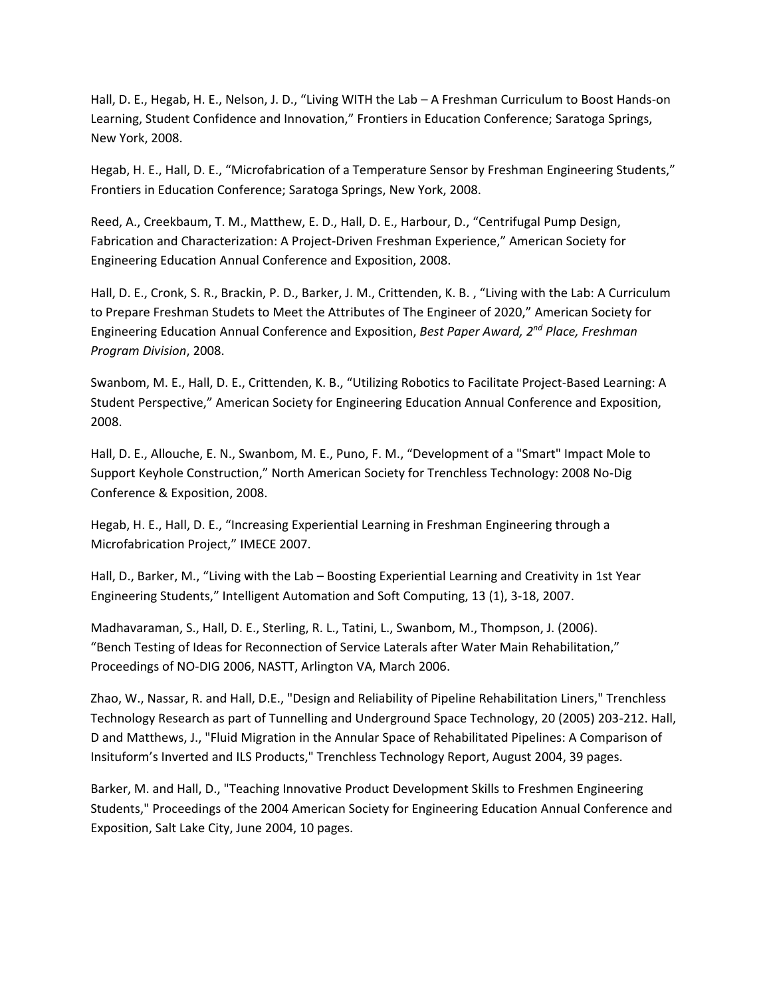Hall, D. E., Hegab, H. E., Nelson, J. D., "Living WITH the Lab – A Freshman Curriculum to Boost Hands-on Learning, Student Confidence and Innovation," Frontiers in Education Conference; Saratoga Springs, New York, 2008.

Hegab, H. E., Hall, D. E., "Microfabrication of a Temperature Sensor by Freshman Engineering Students," Frontiers in Education Conference; Saratoga Springs, New York, 2008.

Reed, A., Creekbaum, T. M., Matthew, E. D., Hall, D. E., Harbour, D., "Centrifugal Pump Design, Fabrication and Characterization: A Project-Driven Freshman Experience," American Society for Engineering Education Annual Conference and Exposition, 2008.

Hall, D. E., Cronk, S. R., Brackin, P. D., Barker, J. M., Crittenden, K. B. , "Living with the Lab: A Curriculum to Prepare Freshman Studets to Meet the Attributes of The Engineer of 2020," American Society for Engineering Education Annual Conference and Exposition, *Best Paper Award, 2nd Place, Freshman Program Division*, 2008.

Swanbom, M. E., Hall, D. E., Crittenden, K. B., "Utilizing Robotics to Facilitate Project-Based Learning: A Student Perspective," American Society for Engineering Education Annual Conference and Exposition, 2008.

Hall, D. E., Allouche, E. N., Swanbom, M. E., Puno, F. M., "Development of a "Smart" Impact Mole to Support Keyhole Construction," North American Society for Trenchless Technology: 2008 No-Dig Conference & Exposition, 2008.

Hegab, H. E., Hall, D. E., "Increasing Experiential Learning in Freshman Engineering through a Microfabrication Project," IMECE 2007.

Hall, D., Barker, M., "Living with the Lab – Boosting Experiential Learning and Creativity in 1st Year Engineering Students," Intelligent Automation and Soft Computing, 13 (1), 3-18, 2007.

Madhavaraman, S., Hall, D. E., Sterling, R. L., Tatini, L., Swanbom, M., Thompson, J. (2006). "Bench Testing of Ideas for Reconnection of Service Laterals after Water Main Rehabilitation," Proceedings of NO-DIG 2006, NASTT, Arlington VA, March 2006.

Zhao, W., Nassar, R. and Hall, D.E., "Design and Reliability of Pipeline Rehabilitation Liners," Trenchless Technology Research as part of Tunnelling and Underground Space Technology, 20 (2005) 203-212. Hall, D and Matthews, J., "Fluid Migration in the Annular Space of Rehabilitated Pipelines: A Comparison of Insituform's Inverted and ILS Products," Trenchless Technology Report, August 2004, 39 pages.

Barker, M. and Hall, D., "Teaching Innovative Product Development Skills to Freshmen Engineering Students," Proceedings of the 2004 American Society for Engineering Education Annual Conference and Exposition, Salt Lake City, June 2004, 10 pages.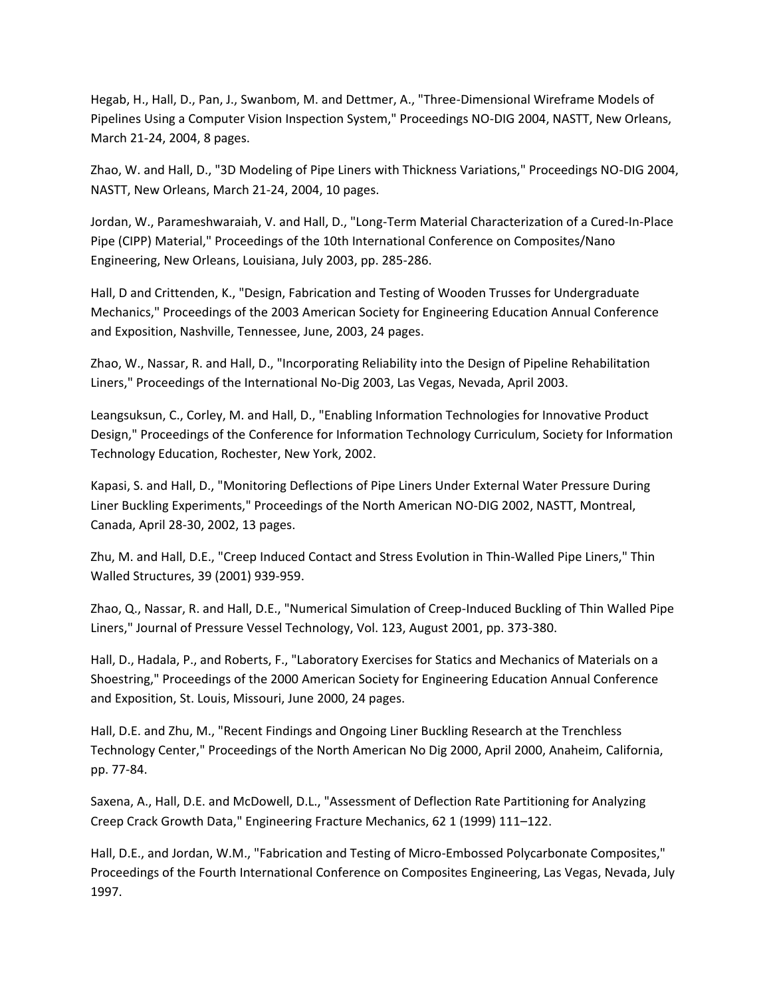Hegab, H., Hall, D., Pan, J., Swanbom, M. and Dettmer, A., "Three-Dimensional Wireframe Models of Pipelines Using a Computer Vision Inspection System," Proceedings NO-DIG 2004, NASTT, New Orleans, March 21-24, 2004, 8 pages.

Zhao, W. and Hall, D., "3D Modeling of Pipe Liners with Thickness Variations," Proceedings NO-DIG 2004, NASTT, New Orleans, March 21-24, 2004, 10 pages.

Jordan, W., Parameshwaraiah, V. and Hall, D., "Long-Term Material Characterization of a Cured-In-Place Pipe (CIPP) Material," Proceedings of the 10th International Conference on Composites/Nano Engineering, New Orleans, Louisiana, July 2003, pp. 285-286.

Hall, D and Crittenden, K., "Design, Fabrication and Testing of Wooden Trusses for Undergraduate Mechanics," Proceedings of the 2003 American Society for Engineering Education Annual Conference and Exposition, Nashville, Tennessee, June, 2003, 24 pages.

Zhao, W., Nassar, R. and Hall, D., "Incorporating Reliability into the Design of Pipeline Rehabilitation Liners," Proceedings of the International No-Dig 2003, Las Vegas, Nevada, April 2003.

Leangsuksun, C., Corley, M. and Hall, D., "Enabling Information Technologies for Innovative Product Design," Proceedings of the Conference for Information Technology Curriculum, Society for Information Technology Education, Rochester, New York, 2002.

Kapasi, S. and Hall, D., "Monitoring Deflections of Pipe Liners Under External Water Pressure During Liner Buckling Experiments," Proceedings of the North American NO-DIG 2002, NASTT, Montreal, Canada, April 28-30, 2002, 13 pages.

Zhu, M. and Hall, D.E., "Creep Induced Contact and Stress Evolution in Thin-Walled Pipe Liners," Thin Walled Structures, 39 (2001) 939-959.

Zhao, Q., Nassar, R. and Hall, D.E., "Numerical Simulation of Creep-Induced Buckling of Thin Walled Pipe Liners," Journal of Pressure Vessel Technology, Vol. 123, August 2001, pp. 373-380.

Hall, D., Hadala, P., and Roberts, F., "Laboratory Exercises for Statics and Mechanics of Materials on a Shoestring," Proceedings of the 2000 American Society for Engineering Education Annual Conference and Exposition, St. Louis, Missouri, June 2000, 24 pages.

Hall, D.E. and Zhu, M., "Recent Findings and Ongoing Liner Buckling Research at the Trenchless Technology Center," Proceedings of the North American No Dig 2000, April 2000, Anaheim, California, pp. 77-84.

Saxena, A., Hall, D.E. and McDowell, D.L., "Assessment of Deflection Rate Partitioning for Analyzing Creep Crack Growth Data," Engineering Fracture Mechanics, 62 1 (1999) 111–122.

Hall, D.E., and Jordan, W.M., "Fabrication and Testing of Micro-Embossed Polycarbonate Composites," Proceedings of the Fourth International Conference on Composites Engineering, Las Vegas, Nevada, July 1997.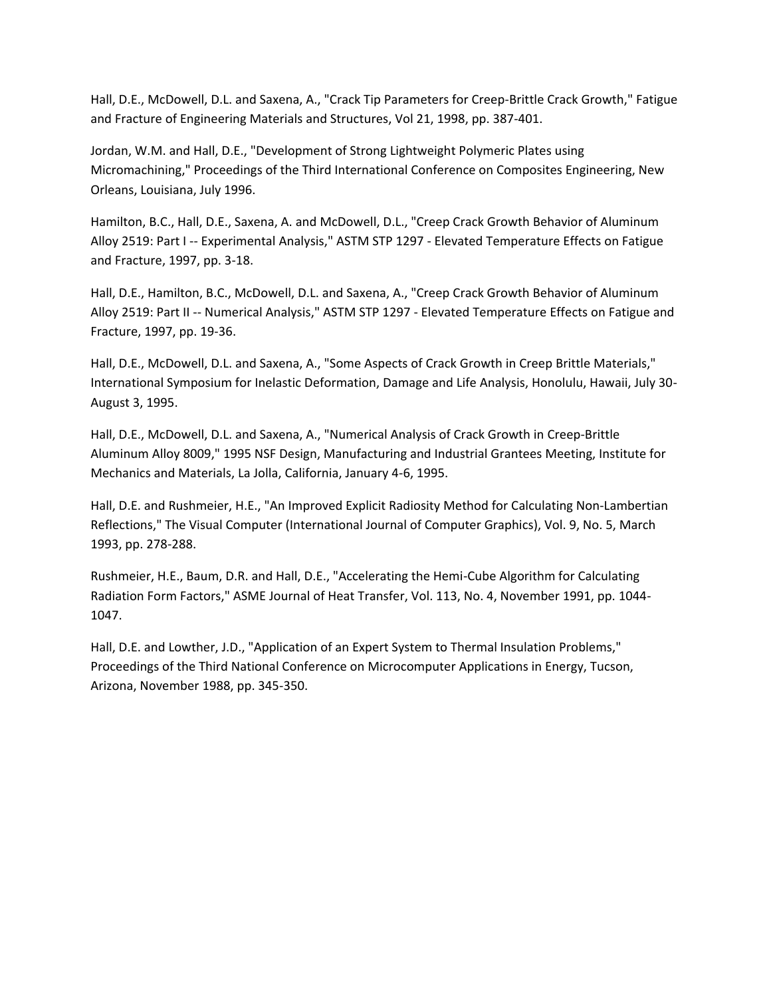Hall, D.E., McDowell, D.L. and Saxena, A., "Crack Tip Parameters for Creep-Brittle Crack Growth," Fatigue and Fracture of Engineering Materials and Structures, Vol 21, 1998, pp. 387-401.

Jordan, W.M. and Hall, D.E., "Development of Strong Lightweight Polymeric Plates using Micromachining," Proceedings of the Third International Conference on Composites Engineering, New Orleans, Louisiana, July 1996.

Hamilton, B.C., Hall, D.E., Saxena, A. and McDowell, D.L., "Creep Crack Growth Behavior of Aluminum Alloy 2519: Part I -- Experimental Analysis," ASTM STP 1297 - Elevated Temperature Effects on Fatigue and Fracture, 1997, pp. 3-18.

Hall, D.E., Hamilton, B.C., McDowell, D.L. and Saxena, A., "Creep Crack Growth Behavior of Aluminum Alloy 2519: Part II -- Numerical Analysis," ASTM STP 1297 - Elevated Temperature Effects on Fatigue and Fracture, 1997, pp. 19-36.

Hall, D.E., McDowell, D.L. and Saxena, A., "Some Aspects of Crack Growth in Creep Brittle Materials," International Symposium for Inelastic Deformation, Damage and Life Analysis, Honolulu, Hawaii, July 30- August 3, 1995.

Hall, D.E., McDowell, D.L. and Saxena, A., "Numerical Analysis of Crack Growth in Creep-Brittle Aluminum Alloy 8009," 1995 NSF Design, Manufacturing and Industrial Grantees Meeting, Institute for Mechanics and Materials, La Jolla, California, January 4-6, 1995.

Hall, D.E. and Rushmeier, H.E., "An Improved Explicit Radiosity Method for Calculating Non-Lambertian Reflections," The Visual Computer (International Journal of Computer Graphics), Vol. 9, No. 5, March 1993, pp. 278-288.

Rushmeier, H.E., Baum, D.R. and Hall, D.E., "Accelerating the Hemi-Cube Algorithm for Calculating Radiation Form Factors," ASME Journal of Heat Transfer, Vol. 113, No. 4, November 1991, pp. 1044- 1047.

Hall, D.E. and Lowther, J.D., "Application of an Expert System to Thermal Insulation Problems," Proceedings of the Third National Conference on Microcomputer Applications in Energy, Tucson, Arizona, November 1988, pp. 345-350.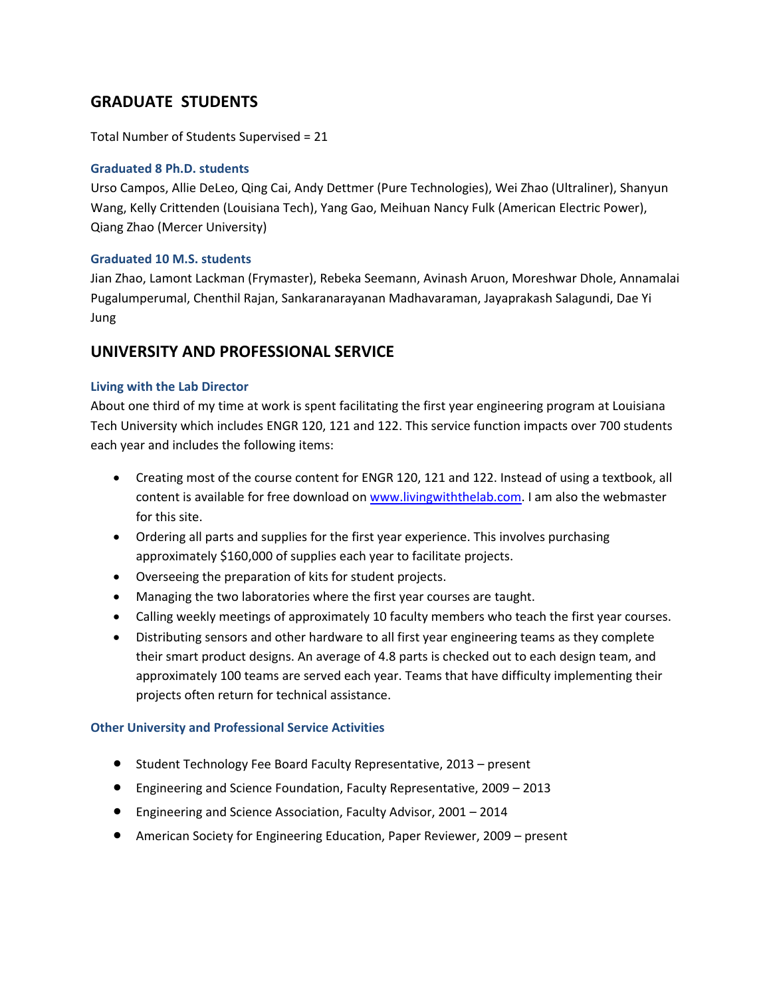# **GRADUATE STUDENTS**

Total Number of Students Supervised = 21

### **Graduated 8 Ph.D. students**

Urso Campos, Allie DeLeo, Qing Cai, Andy Dettmer (Pure Technologies), Wei Zhao (Ultraliner), Shanyun Wang, Kelly Crittenden (Louisiana Tech), Yang Gao, Meihuan Nancy Fulk (American Electric Power), Qiang Zhao (Mercer University)

### **Graduated 10 M.S. students**

Jian Zhao, Lamont Lackman (Frymaster), Rebeka Seemann, Avinash Aruon, Moreshwar Dhole, Annamalai Pugalumperumal, Chenthil Rajan, Sankaranarayanan Madhavaraman, Jayaprakash Salagundi, Dae Yi Jung

## **UNIVERSITY AND PROFESSIONAL SERVICE**

### **Living with the Lab Director**

About one third of my time at work is spent facilitating the first year engineering program at Louisiana Tech University which includes ENGR 120, 121 and 122. This service function impacts over 700 students each year and includes the following items:

- Creating most of the course content for ENGR 120, 121 and 122. Instead of using a textbook, all content is available for free download on [www.livingwiththelab.com.](http://www.livingwiththelab.com/) I am also the webmaster for this site.
- Ordering all parts and supplies for the first year experience. This involves purchasing approximately \$160,000 of supplies each year to facilitate projects.
- Overseeing the preparation of kits for student projects.
- Managing the two laboratories where the first year courses are taught.
- Calling weekly meetings of approximately 10 faculty members who teach the first year courses.
- Distributing sensors and other hardware to all first year engineering teams as they complete their smart product designs. An average of 4.8 parts is checked out to each design team, and approximately 100 teams are served each year. Teams that have difficulty implementing their projects often return for technical assistance.

### **Other University and Professional Service Activities**

- Student Technology Fee Board Faculty Representative, 2013 present
- Engineering and Science Foundation, Faculty Representative, 2009 2013
- Engineering and Science Association, Faculty Advisor, 2001 2014
- American Society for Engineering Education, Paper Reviewer, 2009 present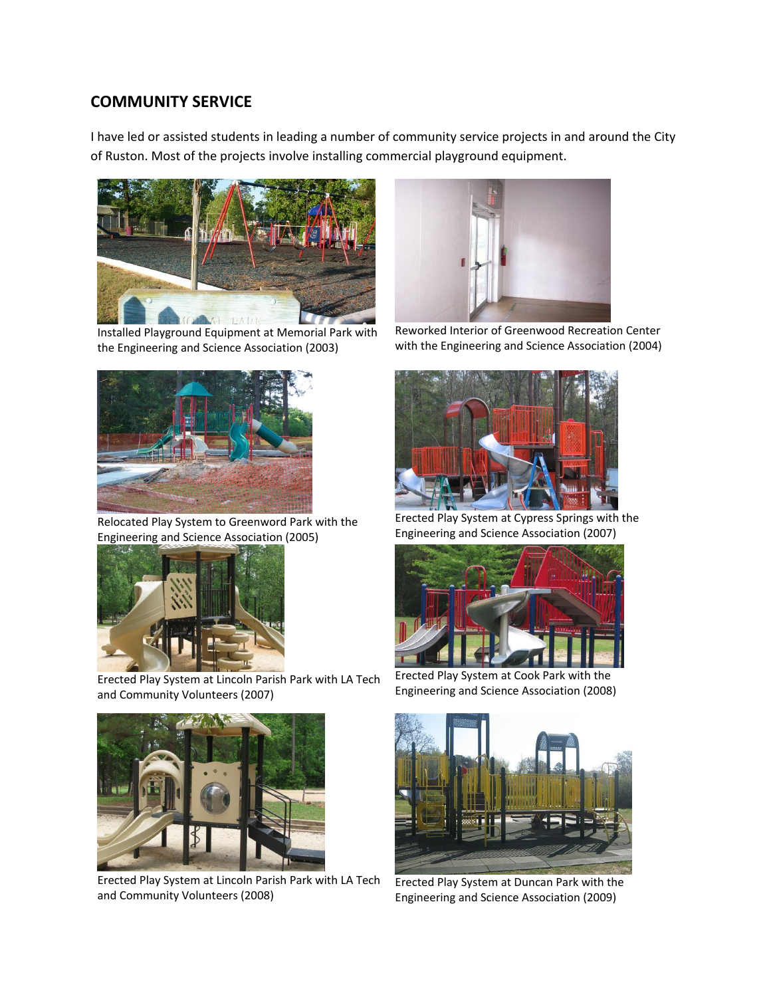## **COMMUNITY SERVICE**

I have led or assisted students in leading a number of community service projects in and around the City of Ruston. Most of the projects involve installing commercial playground equipment.



Installed Playground Equipment at Memorial Park with the Engineering and Science Association (2003)



Relocated Play System to Greenword Park with the Engineering and Science Association (2005)



Erected Play System at Lincoln Parish Park with LA Tech and Community Volunteers (2007)



Erected Play System at Lincoln Parish Park with LA Tech and Community Volunteers (2008)



Reworked Interior of Greenwood Recreation Center with the Engineering and Science Association (2004)



Erected Play System at Cypress Springs with the Engineering and Science Association (2007)



Erected Play System at Cook Park with the Engineering and Science Association (2008)



Erected Play System at Duncan Park with the Engineering and Science Association (2009)